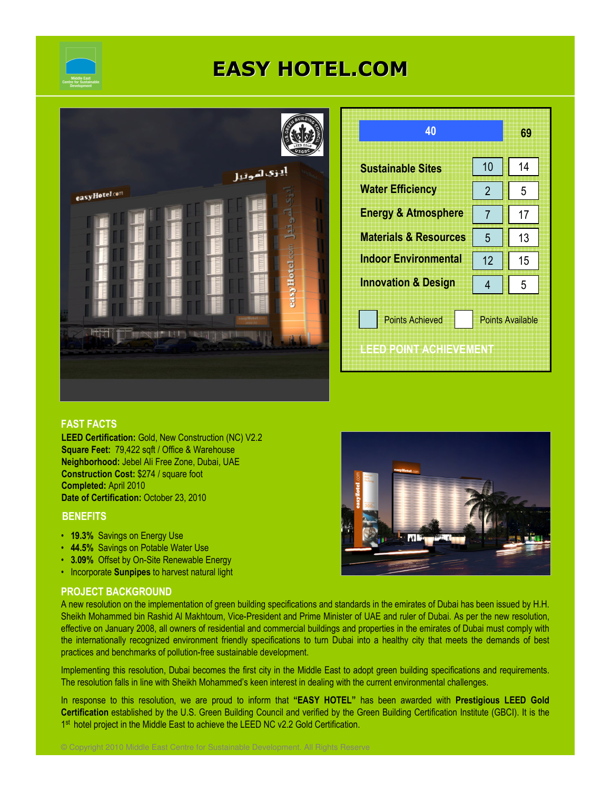

# EASY HOTEL.COM



| 40                                               |                         | 69 |  |
|--------------------------------------------------|-------------------------|----|--|
| <b>Sustainable Sites</b>                         | 10                      | 14 |  |
| <b>Water Efficiency</b>                          | $\overline{2}$          | 5  |  |
| <b>Energy &amp; Atmosphere</b>                   | 7                       | 17 |  |
| <b>Materials &amp; Resources</b>                 | 5                       | 13 |  |
| <b>Indoor Environmental</b>                      | 12                      | 15 |  |
| <b>Innovation &amp; Design</b>                   | 4                       | 5  |  |
| <b>Points Achieved</b><br>IEED POINT ACHIEVEMENT | <b>Points Available</b> |    |  |

## FAST FACTS

LEED Certification: Gold, New Construction (NC) V2.2 Square Feet: 79,422 sqft / Office & Warehouse Neighborhood: Jebel Ali Free Zone, Dubai, UAE Construction Cost: \$274 / square foot Completed: April 2010 Date of Certification: October 23, 2010

### **BENEFITS**

- 19.3% Savings on Energy Use
- 44.5% Savings on Potable Water Use
- 3.09% Offset by On-Site Renewable Energy
- Incorporate Sunpipes to harvest natural light

### PROJECT BACKGROUND

A new resolution on the implementation of green building specifications and standards in the emirates of Dubai has been issued by H.H. Sheikh Mohammed bin Rashid Al Makhtoum, Vice-President and Prime Minister of UAE and ruler of Dubai. As per the new resolution, effective on January 2008, all owners of residential and commercial buildings and properties in the emirates of Dubai must comply with the internationally recognized environment friendly specifications to turn Dubai into a healthy city that meets the demands of best practices and benchmarks of pollution-free sustainable development.

Implementing this resolution, Dubai becomes the first city in the Middle East to adopt green building specifications and requirements. The resolution falls in line with Sheikh Mohammed's keen interest in dealing with the current environmental challenges.

In response to this resolution, we are proud to inform that "EASY HOTEL" has been awarded with Prestigious LEED Gold Certification established by the U.S. Green Building Council and verified by the Green Building Certification Institute (GBCI). It is the 1<sup>st</sup> hotel project in the Middle East to achieve the LEED NC v2.2 Gold Certification.